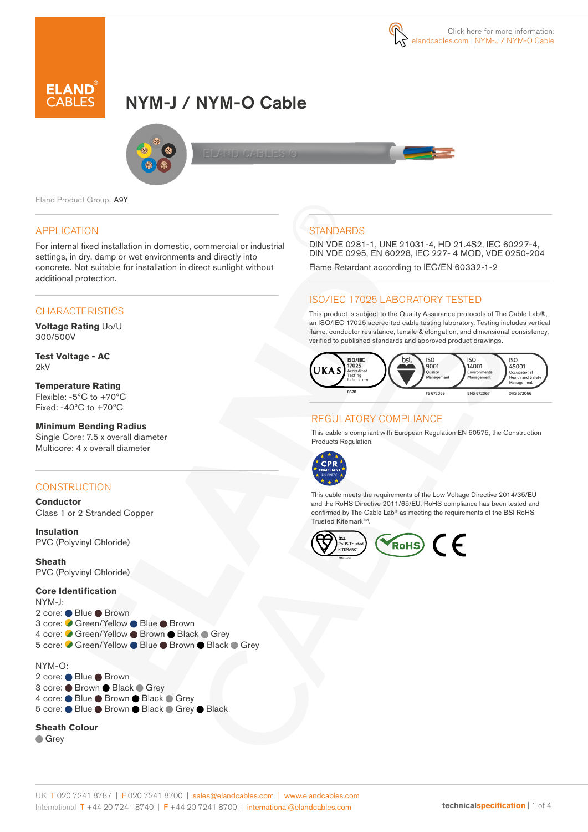

# NYM-J / NYM-O Cable



Eland Product Group: A9Y

#### APPLICATION

For internal fixed installation in domestic, commercial or industrial settings, in dry, damp or wet environments and directly into concrete. Not suitable for installation in direct sunlight without additional protection.

#### **CHARACTERISTICS**

**Voltage Rating** Uo/U 300/500V

**Test Voltage - AC**  2kV

**Temperature Rating** Flexible: -5ºC to +70ºC Fixed: -40ºC to +70ºC

#### **Minimum Bending Radius**

Single Core: 7.5 x overall diameter Multicore: 4 x overall diameter

#### **CONSTRUCTION**

**Conductor** Class 1 or 2 Stranded Copper

**Insulation** PVC (Polyvinyl Chloride)

**Sheath** PVC (Polyvinyl Chloride)

#### **Core Identification**

NYM-J: 2 core: ● Blue ● Brown 3 core: ● Green/Yellow ● Blue ● Brown 4 core: Green/Yellow Brown Black Grey 5 core: C Green/Yellow ● Blue ● Brown ● Black ● Grey

NYM-O: 2 core: ● Blue ● Brown 3 core: ● Brown ● Black ● Grey 4 core: Blue Brown Black Grey 5 core: ● Blue ● Brown ● Black ● Grey ● Black

#### **Sheath Colour**

**Grey** 

### **STANDARDS**

DIN VDE 0281-1, UNE 21031-4, HD 21.4S2, IEC 60227-4, DIN VDE 0295, EN 60228, IEC 227- 4 MOD, VDE 0250-204 Flame Retardant according to IEC/EN 60332-1-2

#### ISO/IEC 17025 LABORATORY TESTED

This product is subject to the Quality Assurance protocols of The Cable Lab®, an ISO/IEC 17025 accredited cable testing laboratory. Testing includes vertical flame, conductor resistance, tensile & elongation, and dimensional consistency, verified to published standards and approved product drawings.



#### REGULATORY COMPLIANCE

This cable is compliant with European Regulation EN 50575, the Construction Products Regulation.



This cable meets the requirements of the Low Voltage Directive 2014/35/EU and the RoHS Directive 2011/65/EU. RoHS compliance has been tested and confirmed by The Cable Lab® as meeting the requirements of the BSI RoHS Trusted KitemarkTM.

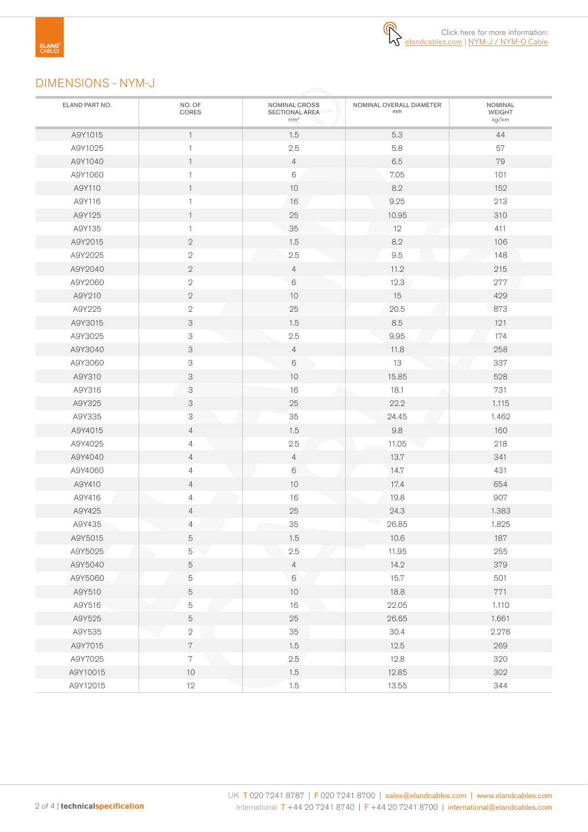

## DIMENSIONS - NYM-J

| ELAND PART NO. | NO. OF<br>CORES           | NOMINAL CROSS<br>SECTIONAL AREA<br>mm <sup>2</sup> | NOMINAL OVERALL DIAMETER<br>mm | <b>NOMINAL</b><br>WEIGHT<br>kg/km |
|----------------|---------------------------|----------------------------------------------------|--------------------------------|-----------------------------------|
| A9Y1015        | $\mathbf{1}$              | 1.5                                                | 5.3                            | 44                                |
| A9Y1025        | $\mathbf{1}$              | 2.5                                                | 5.8                            | 57                                |
| A9Y1040        | $\mathbf{1}$              | $\overline{4}$                                     | $6.5\,$                        | 79                                |
| A9Y1060        | $\mathbf{1}$              | 6                                                  | 7.05                           | 101                               |
| A9Y110         | $\mathbf{1}$              | 10                                                 | 8.2                            | 152                               |
| A9Y116         | $\mathbf{1}$              | 16                                                 | 9.25                           | 213                               |
| A9Y125         | $\overline{1}$            | 25                                                 | 10.95                          | 310                               |
| A9Y135         | $\overline{1}$            | $35\,$                                             | 12                             | 411                               |
| A9Y2015        | $\mathbf{2}$              | 1.5                                                | $8.2\,$                        | 106                               |
| A9Y2025        | $\mathbf{2}$              | 2.5                                                | $9.5\,$                        | 148                               |
| A9Y2040        | $\mathbf{2}$              | 4                                                  | 11.2                           | 215                               |
| A9Y2060        | $\sqrt{2}$                | 6                                                  | 12.3                           | 277                               |
| A9Y210         | $\mathbf{2}$              | 10                                                 | 15                             | 429                               |
| A9Y225         | $\sqrt{2}$                | 25                                                 | 20.5                           | 873                               |
| A9Y3015        | 3                         | 1.5                                                | $8.5\,$                        | 121                               |
| A9Y3025        | 3                         | 2.5                                                | 9.95                           | 174                               |
| A9Y3040        | 3                         | $\overline{4}$                                     | 11.8                           | 258                               |
| A9Y3060        | $\ensuremath{\mathsf{3}}$ | $6\,$                                              | 13                             | 337                               |
| A9Y310         | $\ensuremath{\mathsf{3}}$ | 10                                                 | 15.85                          | 528                               |
| A9Y316         | 3                         | 16                                                 | 18.1                           | 731                               |
| A9Y325         | 3                         | 25                                                 | 22.2                           | 1.115                             |
| A9Y335         | 3                         | 35                                                 | 24.45                          | 1.462                             |
| A9Y4015        | 4                         | 1.5                                                | $9.8\,$                        | 160                               |
| A9Y4025        | 4                         | $2.5\,$                                            | 11.05                          | 218                               |
| A9Y4040        | 4                         | $\overline{4}$                                     | 13.7                           | 341                               |
| A9Y4060        | $\overline{4}$            | $\,6\,$                                            | 14.7                           | 431                               |
| A9Y410         | 4                         | 10                                                 | 17.4                           | 654                               |
| A9Y416         | 4                         | 16                                                 | 19.8                           | 907                               |
| A9Y425         | 4                         | 25                                                 | 24.3                           | 1.383                             |
| A9Y435         | 4                         | 35                                                 | 26.85                          | 1.825                             |
| A9Y5015        | 5                         | 1.5                                                | 10.6                           | 187                               |
| A9Y5025        | $\mathbf 5$<br>e i        | $2.5\,$                                            | 11.95                          | 255                               |
| A9Y5040        | $\mathbf 5$               | $\overline{4}$                                     | 14.2                           | 379                               |
| A9Y5060        | $\mathbf 5$               | 6                                                  | 15.7                           | 501                               |
| A9Y510         | $\mathbf 5$               | $10$                                               | 18.8                           | 771                               |
| A9Y516         | $\mathbf 5$               | $16\,$                                             | 22.05                          | 1.110                             |
| A9Y525         | $\mathbf 5$               | $25\,$                                             | 26.65                          | 1.661                             |
| A9Y535         | $\sqrt{2}$                | 35                                                 | 30.4                           | 2.276                             |
| A9Y7015        | $\,7$                     | 1.5                                                | 12.5                           | 269                               |
| A9Y7025        | $7\phantom{.}$            | 2.5                                                | 12.8                           | 320                               |
| A9Y10015       | 10                        | 1.5                                                | 12.85                          | 302                               |
| A9Y12015       | 12                        | 1.5                                                | 13.55                          | 344                               |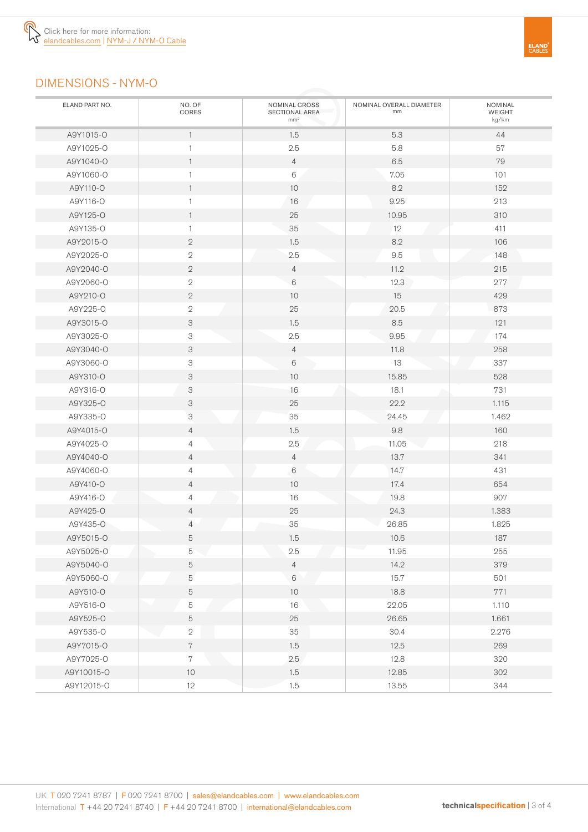

# DIMENSIONS - NYM-O

| ELAND PART NO. | NO. OF<br>CORES           | NOMINAL CROSS<br>SECTIONAL AREA<br>mm <sup>2</sup> | NOMINAL OVERALL DIAMETER<br>mm | NOMINAL<br>WEIGHT<br>kg/km |
|----------------|---------------------------|----------------------------------------------------|--------------------------------|----------------------------|
| A9Y1015-O      | $\overline{1}$            | 1.5                                                | 5.3                            | 44                         |
| A9Y1025-O      | $\mathbf{1}$              | 2.5                                                | 5.8                            | 57                         |
| A9Y1040-O      | $\overline{1}$            | $\overline{4}$                                     | $6.5\,$                        | 79                         |
| A9Y1060-O      | $\mathbf{1}$              | 6                                                  | 7.05                           | 101                        |
| A9Y110-0       | $\overline{1}$            | 10                                                 | 8.2                            | 152                        |
| A9Y116-0       | $\mathbf{1}$              | 16                                                 | 9.25                           | 213                        |
| A9Y125-O       | $\overline{1}$            | 25                                                 | 10.95                          | 310                        |
| A9Y135-O       | $\mathbf{1}$              | 35                                                 | 12                             | 411                        |
| A9Y2015-O      | $\mathbf{2}$              | 1.5                                                | 8.2                            | 106                        |
| A9Y2025-O      | $\sqrt{2}$                | 2.5                                                | 9.5                            | 148                        |
| A9Y2040-O      | $\mathbf{2}$              | $\overline{4}$                                     | 11.2                           | 215                        |
| A9Y2060-O      | $\sqrt{2}$                | 6                                                  | 12.3                           | 277                        |
| A9Y210-O       | $\mathbf{2}$              | 10 <sup>1</sup>                                    | 15                             | 429                        |
| A9Y225-0       | $\sqrt{2}$                | 25                                                 | 20.5                           | 873                        |
| A9Y3015-O      | 3                         | 1.5                                                | 8.5                            | 121                        |
| A9Y3025-O      | 3                         | 2.5                                                | 9.95                           | 174                        |
| A9Y3040-O      | 3                         | $\overline{4}$                                     | 11.8                           | 258                        |
| A9Y3060-O      | 3                         | 6                                                  | 13                             | 337                        |
| A9Y310-O       | 3                         | 10 <sup>°</sup>                                    | 15.85                          | 528                        |
| A9Y316-O       | $\ensuremath{\mathsf{3}}$ | 16                                                 | 18.1                           | 731                        |
| A9Y325-O       | 3                         | 25                                                 | 22.2                           | 1.115                      |
| A9Y335-0       | 3                         | 35                                                 | 24.45                          | 1.462                      |
| A9Y4015-0      | $\overline{4}$            | 1.5                                                | 9.8                            | 160                        |
| A9Y4025-O      | $\overline{4}$            | 2.5                                                | 11.05                          | 218                        |
| A9Y4040-0      | $\overline{4}$            | $\overline{4}$                                     | 13.7                           | 341                        |
| A9Y4060-O      | 4                         | 6                                                  | 14.7                           | 431                        |
| A9Y410-0       | $\overline{4}$            | 10 <sup>1</sup>                                    | 17.4                           | 654                        |
| A9Y416-0       | 4                         | 16                                                 | 19.8                           | 907                        |
| A9Y425-O       | $\overline{4}$            | 25                                                 | 24.3                           | 1.383                      |
| A9Y435-O       | $\overline{4}$            | 35                                                 | 26.85                          | 1.825                      |
| A9Y5015-O      | 5                         | 1.5                                                | 10.6                           | 187                        |
| A9Y5025-O      | 5                         | $2.5\,$                                            | 11.95                          | 255                        |
| A9Y5040-O      | $\mathbf 5$               | $\overline{4}$                                     | 14.2                           | 379                        |
| A9Y5060-O      | $\mathbf 5$               | $\,6\,$                                            | 15.7                           | 501                        |
| A9Y510-O       | $\mathbf 5$               | $10$                                               | 18.8                           | 771                        |
| A9Y516-O       | 5                         | $16\,$                                             | 22.05                          | 1.110                      |
| A9Y525-O       | $\mathbf 5$               | $25\,$                                             | 26.65                          | 1.661                      |
| A9Y535-O       | $\sqrt{2}$                | 35                                                 | 30.4                           | 2.276                      |
| A9Y7015-O      | $7\phantom{.}$            | 1.5                                                | 12.5                           | 269                        |
| A9Y7025-O      | $7\phantom{.}$            | 2.5                                                | 12.8                           | 320                        |
| A9Y10015-O     | $10$                      | 1.5                                                | 12.85                          | 302                        |
| A9Y12015-O     | 12                        | 1.5                                                | 13.55                          | 344                        |